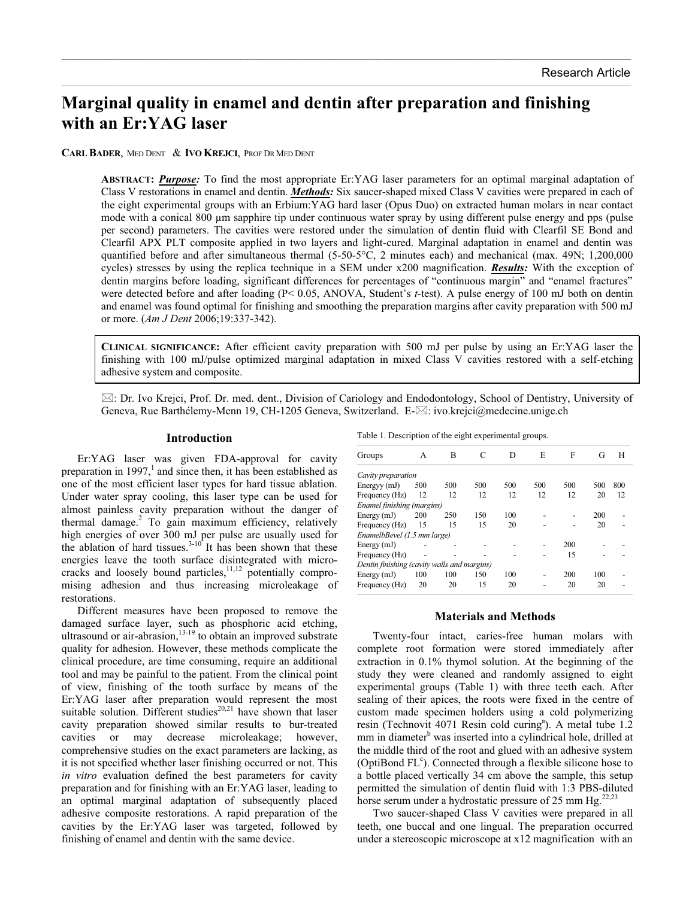# **Marginal quality in enamel and dentin after preparation and finishing with an Er:YAG laser**

 $\mathcal{L}_\mathcal{L} = \mathcal{L}_\mathcal{L} = \mathcal{L}_\mathcal{L} = \mathcal{L}_\mathcal{L} = \mathcal{L}_\mathcal{L} = \mathcal{L}_\mathcal{L} = \mathcal{L}_\mathcal{L} = \mathcal{L}_\mathcal{L} = \mathcal{L}_\mathcal{L} = \mathcal{L}_\mathcal{L} = \mathcal{L}_\mathcal{L} = \mathcal{L}_\mathcal{L} = \mathcal{L}_\mathcal{L} = \mathcal{L}_\mathcal{L} = \mathcal{L}_\mathcal{L} = \mathcal{L}_\mathcal{L} = \mathcal{L}_\mathcal{L}$ 

 $\_$  , and the state of the state of the state of the state of the state of the state of the state of the state of the state of the state of the state of the state of the state of the state of the state of the state of the

**CARL BADER**, MED DENT & **IVO KREJCI**, PROF DR MED DENT

**ABSTRACT:** *Purpose:* To find the most appropriate Er:YAG laser parameters for an optimal marginal adaptation of Class V restorations in enamel and dentin. *Methods:* Six saucer-shaped mixed Class V cavities were prepared in each of the eight experimental groups with an Erbium:YAG hard laser (Opus Duo) on extracted human molars in near contact mode with a conical 800 µm sapphire tip under continuous water spray by using different pulse energy and pps (pulse per second) parameters. The cavities were restored under the simulation of dentin fluid with Clearfil SE Bond and Clearfil APX PLT composite applied in two layers and light-cured. Marginal adaptation in enamel and dentin was quantified before and after simultaneous thermal (5-50-5°C, 2 minutes each) and mechanical (max. 49N; 1,200,000 cycles) stresses by using the replica technique in a SEM under x200 magnification. *Results:* With the exception of dentin margins before loading, significant differences for percentages of "continuous margin" and "enamel fractures" were detected before and after loading (P< 0.05, ANOVA, Student's *t*-test). A pulse energy of 100 mJ both on dentin and enamel was found optimal for finishing and smoothing the preparation margins after cavity preparation with 500 mJ or more. (*Am J Dent* 2006;19:337-342).

**CLINICAL SIGNIFICANCE:** After efficient cavity preparation with 500 mJ per pulse by using an Er:YAG laser the finishing with 100 mJ/pulse optimized marginal adaptation in mixed Class V cavities restored with a self-etching adhesive system and composite.

 $\boxtimes$ : Dr. Ivo Krejci, Prof. Dr. med. dent., Division of Cariology and Endodontology, School of Dentistry, University of Geneva, Rue Barthélemy-Menn 19, CH-1205 Geneva, Switzerland. E- $\boxtimes$ : ivo.krejci@medecine.unige.ch

## **Introduction**

 Er:YAG laser was given FDA-approval for cavity preparation in 1997,<sup>1</sup> and since then, it has been established as one of the most efficient laser types for hard tissue ablation. Under water spray cooling, this laser type can be used for almost painless cavity preparation without the danger of thermal damage.2 To gain maximum efficiency, relatively high energies of over 300 mJ per pulse are usually used for the ablation of hard tissues. $3-10$  It has been shown that these energies leave the tooth surface disintegrated with microcracks and loosely bound particles,<sup>11,12</sup> potentially compromising adhesion and thus increasing microleakage of restorations.

 Different measures have been proposed to remove the damaged surface layer, such as phosphoric acid etching, ultrasound or air-abrasion, $13-19$  to obtain an improved substrate quality for adhesion. However, these methods complicate the clinical procedure, are time consuming, require an additional tool and may be painful to the patient. From the clinical point of view, finishing of the tooth surface by means of the Er:YAG laser after preparation would represent the most suitable solution. Different studies<sup>20,21</sup> have shown that laser cavity preparation showed similar results to bur-treated cavities or may decrease microleakage; however, comprehensive studies on the exact parameters are lacking, as it is not specified whether laser finishing occurred or not. This *in vitro* evaluation defined the best parameters for cavity preparation and for finishing with an Er:YAG laser, leading to an optimal marginal adaptation of subsequently placed adhesive composite restorations. A rapid preparation of the cavities by the Er:YAG laser was targeted, followed by finishing of enamel and dentin with the same device.

|  |  | Table 1. Description of the eight experimental groups. |  |
|--|--|--------------------------------------------------------|--|
|  |  |                                                        |  |

| Groups                                      | A   | B   | C   | D   | E   | F   | G   | H   |  |  |
|---------------------------------------------|-----|-----|-----|-----|-----|-----|-----|-----|--|--|
| Cavity preparation                          |     |     |     |     |     |     |     |     |  |  |
| Energyy (mJ)                                | 500 | 500 | 500 | 500 | 500 | 500 | 500 | 800 |  |  |
| Frequency (Hz)                              | 12  | 12  | 12  | 12  | 12  | 12  | 20  | 12  |  |  |
| Enamel finishing (margins)                  |     |     |     |     |     |     |     |     |  |  |
| Energy (mJ)                                 | 200 | 250 | 150 | 100 |     |     | 200 |     |  |  |
| Frequency (Hz)                              | 15  | 15  | 15  | 20  |     |     | 20  |     |  |  |
| EnamelbBevel (1.5 mm large)                 |     |     |     |     |     |     |     |     |  |  |
| Energy (mJ)                                 |     |     |     |     |     | 200 |     |     |  |  |
| Frequency (Hz)                              |     |     |     |     |     | 15  |     |     |  |  |
| Dentin finishing (cavity walls and margins) |     |     |     |     |     |     |     |     |  |  |
| Energy (mJ)                                 | 100 | 100 | 150 | 100 |     | 200 | 100 |     |  |  |
| Frequency (Hz)                              | 20  | 20  | 15  | 20  |     | 20  | 20  |     |  |  |

#### **Materials and Methods**

 Twenty-four intact, caries-free human molars with complete root formation were stored immediately after extraction in 0.1% thymol solution. At the beginning of the study they were cleaned and randomly assigned to eight experimental groups (Table 1) with three teeth each. After sealing of their apices, the roots were fixed in the centre of custom made specimen holders using a cold polymerizing resin (Technovit 4071 Resin cold curing<sup>a</sup>). A metal tube 1.2 mm in diameter<sup>b</sup> was inserted into a cylindrical hole, drilled at the middle third of the root and glued with an adhesive system (OptiBond FL<sup>c</sup>). Connected through a flexible silicone hose to a bottle placed vertically 34 cm above the sample, this setup permitted the simulation of dentin fluid with 1:3 PBS-diluted horse serum under a hydrostatic pressure of 25 mm  $Hg<sub>1</sub><sup>22,23</sup>$ 

 Two saucer-shaped Class V cavities were prepared in all teeth, one buccal and one lingual. The preparation occurred under a stereoscopic microscope at x12 magnification with an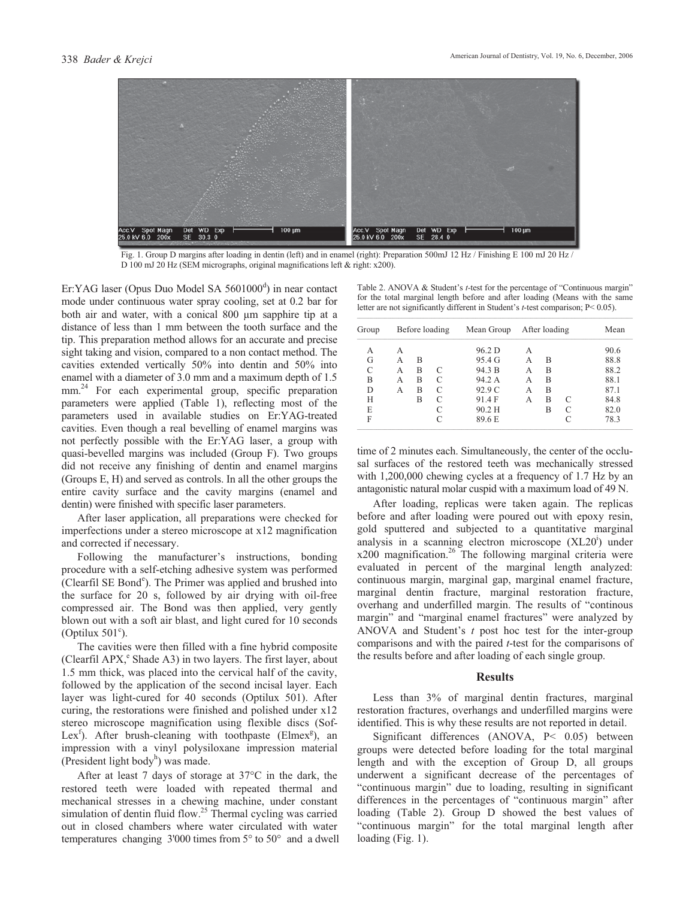

Fig. 1. Group D margins after loading in dentin (left) and in enamel (right): Preparation 500mJ 12 Hz / Finishing E 100 mJ 20 Hz / D 100 mJ 20 Hz (SEM micrographs, original magnifications left & right: x200).

Er:YAG laser (Opus Duo Model SA 5601000<sup>d</sup>) in near contact mode under continuous water spray cooling, set at 0.2 bar for both air and water, with a conical 800 um sapphire tip at a distance of less than 1 mm between the tooth surface and the tip. This preparation method allows for an accurate and precise sight taking and vision, compared to a non contact method. The cavities extended vertically 50% into dentin and 50% into enamel with a diameter of 3.0 mm and a maximum depth of 1.5 mm.<sup>24</sup> For each experimental group, specific preparation parameters were applied (Table 1), reflecting most of the parameters used in available studies on Er:YAG-treated cavities. Even though a real bevelling of enamel margins was not perfectly possible with the Er:YAG laser, a group with quasi-bevelled margins was included (Group F). Two groups did not receive any finishing of dentin and enamel margins (Groups E, H) and served as controls. In all the other groups the entire cavity surface and the cavity margins (enamel and dentin) were finished with specific laser parameters.

 After laser application, all preparations were checked for imperfections under a stereo microscope at x12 magnification and corrected if necessary.

 Following the manufacturer's instructions, bonding procedure with a self-etching adhesive system was performed (Clearfil SE Bond<sup>e</sup>). The Primer was applied and brushed into the surface for 20 s, followed by air drying with oil-free compressed air. The Bond was then applied, very gently blown out with a soft air blast, and light cured for 10 seconds (Optilux  $501^{\circ}$ ).

 The cavities were then filled with a fine hybrid composite (Clearfil APX,<sup>e</sup> Shade A3) in two layers. The first layer, about 1.5 mm thick, was placed into the cervical half of the cavity, followed by the application of the second incisal layer. Each layer was light-cured for 40 seconds (Optilux 501). After curing, the restorations were finished and polished under x12 stereo microscope magnification using flexible discs (Sof-Lex<sup>f</sup>). After brush-cleaning with toothpaste (Elmex<sup>g</sup>), an impression with a vinyl polysiloxane impression material (President light body<sup>h</sup>) was made.

 After at least 7 days of storage at 37°C in the dark, the restored teeth were loaded with repeated thermal and mechanical stresses in a chewing machine, under constant simulation of dentin fluid flow.<sup>25</sup> Thermal cycling was carried out in closed chambers where water circulated with water temperatures changing 3'000 times from 5° to 50° and a dwell

Table 2. ANOVA & Student's *t-*test for the percentage of "Continuous margin" for the total marginal length before and after loading (Means with the same letter are not significantly different in Student's *t*-test comparison; P< 0.05).

| Group | Before loading |   |   | Mean Group |   | After loading | Mean |      |
|-------|----------------|---|---|------------|---|---------------|------|------|
| А     | А              |   |   | 96.2 D     | А |               |      | 90.6 |
| G     | А              | В |   | 95.4 G     | А | В             |      | 88.8 |
| C     | А              | B | C | 94.3 B     | А | B             |      | 88.2 |
| B     | А              | B | C | 94.2 A     | А | B             |      | 88.1 |
| D     | А              | B | C | 92.9 C     | А | B             |      | 87.1 |
| H     |                | в | C | 91.4 F     | А | B             | C    | 84.8 |
| E     |                |   |   | $90.2$ H   |   | B             | C    | 82.0 |
| F     |                |   | C | 89.6 E     |   |               |      | 78.3 |

time of 2 minutes each. Simultaneously, the center of the occlusal surfaces of the restored teeth was mechanically stressed with 1,200,000 chewing cycles at a frequency of 1.7 Hz by an antagonistic natural molar cuspid with a maximum load of 49 N.

 After loading, replicas were taken again. The replicas before and after loading were poured out with epoxy resin, gold sputtered and subjected to a quantitative marginal analysis in a scanning electron microscope  $(XL20<sup>i</sup>)$  under  $x200$  magnification.<sup>26</sup> The following marginal criteria were evaluated in percent of the marginal length analyzed: continuous margin, marginal gap, marginal enamel fracture, marginal dentin fracture, marginal restoration fracture, overhang and underfilled margin. The results of "continous margin" and "marginal enamel fractures" were analyzed by ANOVA and Student's *t* post hoc test for the inter-group comparisons and with the paired *t*-test for the comparisons of the results before and after loading of each single group.

### **Results**

 Less than 3% of marginal dentin fractures, marginal restoration fractures, overhangs and underfilled margins were identified. This is why these results are not reported in detail.

 Significant differences (ANOVA, P< 0.05) between groups were detected before loading for the total marginal length and with the exception of Group D, all groups underwent a significant decrease of the percentages of "continuous margin" due to loading, resulting in significant differences in the percentages of "continuous margin" after loading (Table 2). Group D showed the best values of "continuous margin" for the total marginal length after loading (Fig. 1).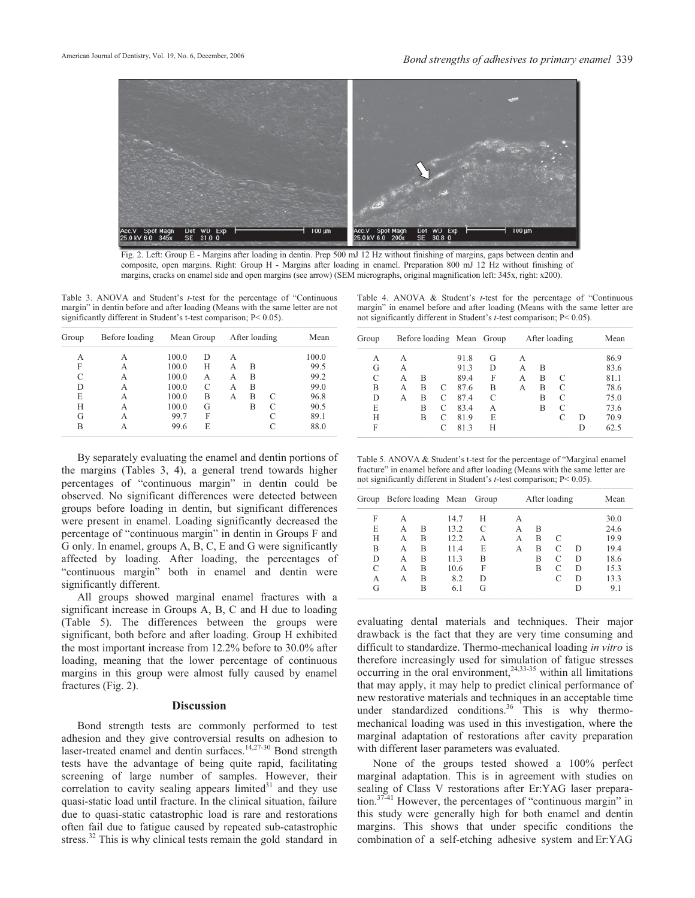

Fig. 2. Left: Group E - Margins after loading in dentin. Prep 500 mJ 12 Hz without finishing of margins, gaps between dentin and composite, open margins. Right: Group H - Margins after loading in enamel. Preparation 800 mJ 12 Hz without finishing of margins, cracks on enamel side and open margins (see arrow) (SEM micrographs, original magnification left: 345x, right: x200).

Table 3. ANOVA and Student's *t-*test for the percentage of "Continuous margin" in dentin before and after loading (Means with the same letter are not significantly different in Student's t-test comparison;  $P < 0.05$ ).

| Group | Before loading | Mean Group |   | After loading | Mean |   |       |
|-------|----------------|------------|---|---------------|------|---|-------|
| А     | А              | 100.0      | D | А             |      |   | 100.0 |
| F     | А              | 100.0      | Н | А             | В    |   | 99.5  |
|       | А              | 100.0      | А | А             | B    |   | 99.2  |
| D     | А              | 100.0      | C | А             | В    |   | 99.0  |
| E     | А              | 100.0      | B | А             | B    | C | 96.8  |
| Н     | А              | 100.0      | G |               | B    | C | 90.5  |
| G     | А              | 99.7       | F |               |      |   | 89.1  |
| B     | А              | 99.6       | E |               |      |   | 88.0  |

 By separately evaluating the enamel and dentin portions of the margins (Tables 3, 4), a general trend towards higher percentages of "continuous margin" in dentin could be observed. No significant differences were detected between groups before loading in dentin, but significant differences were present in enamel. Loading significantly decreased the percentage of "continuous margin" in dentin in Groups F and G only. In enamel, groups A, B, C, E and G were significantly affected by loading. After loading, the percentages of "continuous margin" both in enamel and dentin were significantly different.

 All groups showed marginal enamel fractures with a significant increase in Groups A, B, C and H due to loading (Table 5). The differences between the groups were significant, both before and after loading. Group H exhibited the most important increase from 12.2% before to 30.0% after loading, meaning that the lower percentage of continuous margins in this group were almost fully caused by enamel fractures (Fig. 2).

#### **Discussion**

 Bond strength tests are commonly performed to test adhesion and they give controversial results on adhesion to laser-treated enamel and dentin surfaces.<sup>14,27-30</sup> Bond strength tests have the advantage of being quite rapid, facilitating screening of large number of samples. However, their correlation to cavity sealing appears  $\lim_{n \to \infty}$  and they use quasi-static load until fracture. In the clinical situation, failure due to quasi-static catastrophic load is rare and restorations often fail due to fatigue caused by repeated sub-catastrophic stress.<sup>32</sup> This is why clinical tests remain the gold standard in

Table 4. ANOVA & Student's *t*-test for the percentage of "Continuous margin" in enamel before and after loading (Means with the same letter are not significantly different in Student's *t*-test comparison; P< 0.05).

| Group |   | Before loading Mean Group |   |      |   | After loading |   |   |   | Mean |
|-------|---|---------------------------|---|------|---|---------------|---|---|---|------|
| А     | А |                           |   | 91.8 | G | А             |   |   |   | 86.9 |
| G     | А |                           |   | 91.3 | D | А             | В |   |   | 83.6 |
| C     | А | в                         |   | 89.4 | F | А             | B | C |   | 81.1 |
| В     | А | в                         | C | 87.6 | B | А             | В | C |   | 78.6 |
| D     | A | В                         |   | 87.4 | C |               | B | C |   | 75.0 |
| E     |   | B                         | C | 83.4 | А |               | B | C |   | 73.6 |
| Н     |   | B                         |   | 81.9 | E |               |   |   | D | 70.9 |
| F     |   |                           |   | 81.3 | H |               |   |   | D | 62.5 |

Table 5. ANOVA & Student's t-test for the percentage of "Marginal enamel fracture" in enamel before and after loading (Means with the same letter are not significantly different in Student's *t*-test comparison; P< 0.05).

|   | Group Before loading Mean Group |   |      |   |   | After loading |   |   |      |
|---|---------------------------------|---|------|---|---|---------------|---|---|------|
| F | А                               |   | 14.7 | H | А |               |   |   | 30.0 |
| E | А                               | B | 13.2 | C | А | B             |   |   | 24.6 |
| Н | А                               | B | 12.2 | А | А | B             | C |   | 19.9 |
| B | А                               | B | 11.4 | Е | А | в             | C | D | 19.4 |
| D | А                               | B | 11.3 | В |   | B             |   | D | 18.6 |
| C | А                               | B | 10.6 | F |   | B             | C | D | 15.3 |
| А | А                               | B | 8.2  | D |   |               |   | D | 13.3 |
| G |                                 | в | 6.1  | G |   |               |   | D | 9.1  |

evaluating dental materials and techniques. Their major drawback is the fact that they are very time consuming and difficult to standardize. Thermo-mechanical loading *in vitro* is therefore increasingly used for simulation of fatigue stresses occurring in the oral environment, $24,33-35$  within all limitations that may apply, it may help to predict clinical performance of new restorative materials and techniques in an acceptable time under standardized conditions.<sup>36</sup> This is why thermomechanical loading was used in this investigation, where the marginal adaptation of restorations after cavity preparation with different laser parameters was evaluated.

 None of the groups tested showed a 100% perfect marginal adaptation. This is in agreement with studies on sealing of Class V restorations after Er:YAG laser preparation.<sup>37-41</sup> However, the percentages of "continuous margin" in this study were generally high for both enamel and dentin margins. This shows that under specific conditions the combination of a self-etching adhesive system and Er:YAG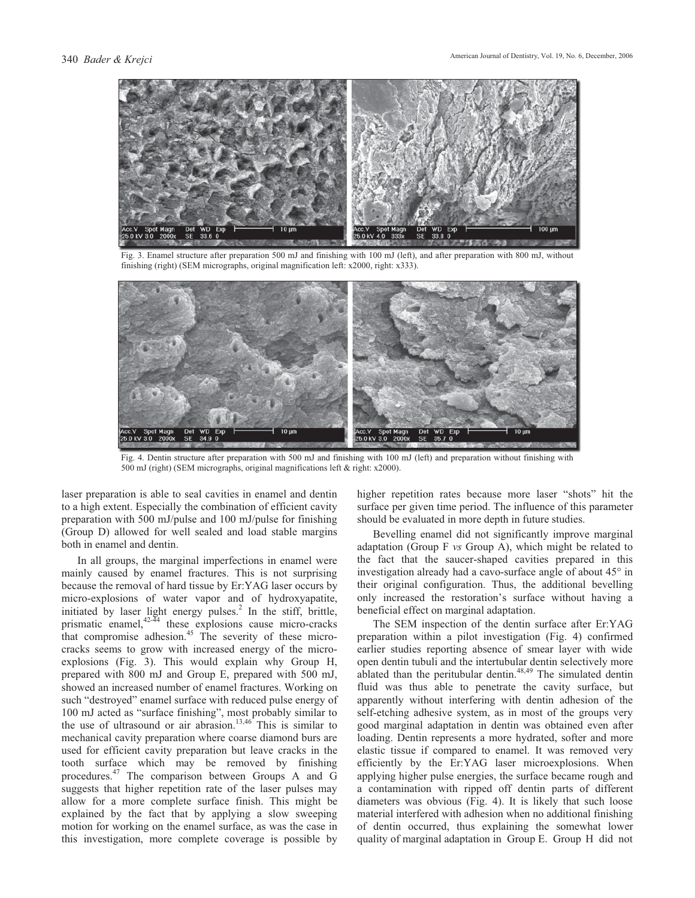

Fig. 3. Enamel structure after preparation 500 mJ and finishing with 100 mJ (left), and after preparation with 800 mJ, without finishing (right) (SEM micrographs, original magnification left: x2000, right: x333).



Fig. 4. Dentin structure after preparation with 500 mJ and finishing with 100 mJ (left) and preparation without finishing with 500 mJ (right) (SEM micrographs, original magnifications left & right: x2000).

laser preparation is able to seal cavities in enamel and dentin to a high extent. Especially the combination of efficient cavity preparation with 500 mJ/pulse and 100 mJ/pulse for finishing (Group D) allowed for well sealed and load stable margins both in enamel and dentin.

 In all groups, the marginal imperfections in enamel were mainly caused by enamel fractures. This is not surprising because the removal of hard tissue by Er:YAG laser occurs by micro-explosions of water vapor and of hydroxyapatite, initiated by laser light energy pulses.<sup>2</sup> In the stiff, brittle, prismatic enamel, $42-44$  these explosions cause micro-cracks that compromise adhesion. $45$  The severity of these microcracks seems to grow with increased energy of the microexplosions (Fig. 3). This would explain why Group H, prepared with 800 mJ and Group E, prepared with 500 mJ, showed an increased number of enamel fractures. Working on such "destroyed" enamel surface with reduced pulse energy of 100 mJ acted as "surface finishing", most probably similar to the use of ultrasound or air abrasion.<sup>13,46</sup> This is similar to mechanical cavity preparation where coarse diamond burs are used for efficient cavity preparation but leave cracks in the tooth surface which may be removed by finishing procedures.47 The comparison between Groups A and G suggests that higher repetition rate of the laser pulses may allow for a more complete surface finish. This might be explained by the fact that by applying a slow sweeping motion for working on the enamel surface, as was the case in this investigation, more complete coverage is possible by

higher repetition rates because more laser "shots" hit the surface per given time period. The influence of this parameter should be evaluated in more depth in future studies.

 Bevelling enamel did not significantly improve marginal adaptation (Group F *vs* Group A), which might be related to the fact that the saucer-shaped cavities prepared in this investigation already had a cavo-surface angle of about 45° in their original configuration. Thus, the additional bevelling only increased the restoration's surface without having a beneficial effect on marginal adaptation.

 The SEM inspection of the dentin surface after Er:YAG preparation within a pilot investigation (Fig. 4) confirmed earlier studies reporting absence of smear layer with wide open dentin tubuli and the intertubular dentin selectively more ablated than the peritubular dentin.<sup>48,49</sup> The simulated dentin fluid was thus able to penetrate the cavity surface, but apparently without interfering with dentin adhesion of the self-etching adhesive system, as in most of the groups very good marginal adaptation in dentin was obtained even after loading. Dentin represents a more hydrated, softer and more elastic tissue if compared to enamel. It was removed very efficiently by the Er:YAG laser microexplosions. When applying higher pulse energies, the surface became rough and a contamination with ripped off dentin parts of different diameters was obvious (Fig. 4). It is likely that such loose material interfered with adhesion when no additional finishing of dentin occurred, thus explaining the somewhat lower quality of marginal adaptation in Group E. Group H did not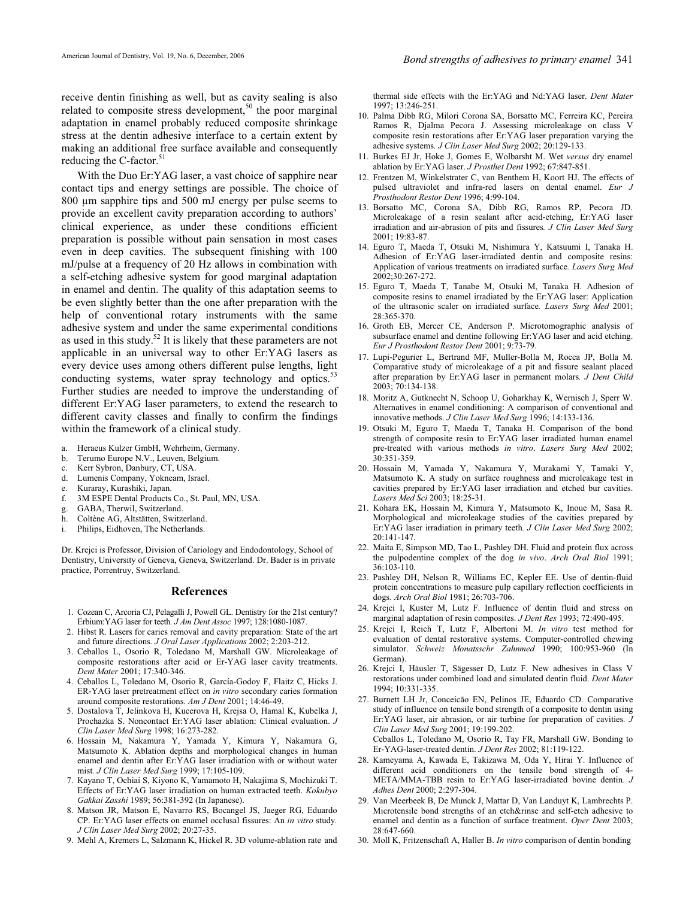receive dentin finishing as well, but as cavity sealing is also related to composite stress development,<sup>50</sup> the poor marginal adaptation in enamel probably reduced composite shrinkage stress at the dentin adhesive interface to a certain extent by making an additional free surface available and consequently reducing the C-factor.<sup>51</sup>

 With the Duo Er:YAG laser, a vast choice of sapphire near contact tips and energy settings are possible. The choice of 800 µm sapphire tips and 500 mJ energy per pulse seems to provide an excellent cavity preparation according to authors' clinical experience, as under these conditions efficient preparation is possible without pain sensation in most cases even in deep cavities. The subsequent finishing with 100 mJ/pulse at a frequency of 20 Hz allows in combination with a self-etching adhesive system for good marginal adaptation in enamel and dentin. The quality of this adaptation seems to be even slightly better than the one after preparation with the help of conventional rotary instruments with the same adhesive system and under the same experimental conditions as used in this study.52 It is likely that these parameters are not applicable in an universal way to other Er:YAG lasers as every device uses among others different pulse lengths, light conducting systems, water spray technology and optics.<sup>5</sup> Further studies are needed to improve the understanding of different Er:YAG laser parameters, to extend the research to different cavity classes and finally to confirm the findings within the framework of a clinical study.

- a. Heraeus Kulzer GmbH, Wehrheim, Germany.
- b. Terumo Europe N.V., Leuven, Belgium.
- c. Kerr Sybron, Danbury, CT, USA.
- d. Lumenis Company, Yokneam, Israel.
- e. Kuraray, Kurashiki, Japan.
- f. 3M ESPE Dental Products Co., St. Paul, MN, USA.
- g. GABA, Therwil, Switzerland.
- h. Coltène AG, Altstätten, Switzerland.
- i. Philips, Eidhoven, The Netherlands.

Dr. Krejci is Professor, Division of Cariology and Endodontology, School of Dentistry, University of Geneva, Geneva, Switzerland. Dr. Bader is in private practice, Porrentruy, Switzerland.

#### **References**

- 1. Cozean C, Arcoria CJ, Pelagalli J, Powell GL. Dentistry for the 21st century? Erbium:YAG laser for teeth*. J Am Dent Assoc* 1997; 128:1080-1087.
- 2. Hibst R. Lasers for caries removal and cavity preparation: State of the art and future directions*. J Oral Laser Applications* 2002; 2:203-212.
- 3. Ceballos L, Osorio R, Toledano M, Marshall GW. Microleakage of composite restorations after acid or Er-YAG laser cavity treatments. *Dent Mater* 2001; 17:340-346.
- 4. Ceballos L, Toledano M, Osorio R, García-Godoy F, Flaitz C, Hicks J. ER-YAG laser pretreatment effect on *in vitro* secondary caries formation around composite restorations. *Am J Dent* 2001; 14:46-49.
- 5. Dostalova T, Jelinkova H, Kucerova H, Krejsa O, Hamal K, Kubelka J, Prochazka S. Noncontact Er:YAG laser ablation: Clinical evaluation. *J Clin Laser Med Surg* 1998; 16:273-282.
- 6. Hossain M, Nakamura Y, Yamada Y, Kimura Y, Nakamura G, Matsumoto K. Ablation depths and morphological changes in human enamel and dentin after Er:YAG laser irradiation with or without water mist*. J Clin Laser Med Surg* 1999; 17:105-109.
- 7. Kayano T, Ochiai S, Kiyono K, Yamamoto H, Nakajima S, Mochizuki T. Effects of Er:YAG laser irradiation on human extracted teeth. *Kokubyo Gakkai Zasshi* 1989; 56:381-392 (In Japanese).
- 8. Matson JR, Matson E, Navarro RS, Bocangel JS, Jaeger RG, Eduardo CP. Er:YAG laser effects on enamel occlusal fissures: An *in vitro* study*. J Clin Laser Med Surg* 2002; 20:27-35.
- 9. Mehl A, Kremers L, Salzmann K, Hickel R. 3D volume-ablation rate and

thermal side effects with the Er:YAG and Nd:YAG laser. *Dent Mater*  $1997: 13:246-251$ 

- 10. Palma Dibb RG, Milori Corona SA, Borsatto MC, Ferreira KC, Pereira Ramos R, Djalma Pecora J. Assessing microleakage on class V composite resin restorations after Er:YAG laser preparation varying the adhesive systems*. J Clin Laser Med Surg* 2002; 20:129-133.
- 11. Burkes EJ Jr, Hoke J, Gomes E, Wolbarsht M. Wet *versus* dry enamel ablation by Er:YAG laser. *J Prosthet Dent* 1992; 67:847-851.
- 12. Frentzen M, Winkelstrater C, van Benthem H, Koort HJ. The effects of pulsed ultraviolet and infra-red lasers on dental enamel. *Eur J Prosthodont Restor Dent* 1996; 4:99-104.
- 13. Borsatto MC, Corona SA, Dibb RG, Ramos RP, Pecora JD. Microleakage of a resin sealant after acid-etching, Er:YAG laser irradiation and air-abrasion of pits and fissures*. J Clin Laser Med Surg* 2001; 19:83-87.
- 14. Eguro T, Maeda T, Otsuki M, Nishimura Y, Katsuumi I, Tanaka H. Adhesion of Er:YAG laser-irradiated dentin and composite resins: Application of various treatments on irradiated surface*. Lasers Surg Med* 2002;30:267-272.
- 15. Eguro T, Maeda T, Tanabe M, Otsuki M, Tanaka H. Adhesion of composite resins to enamel irradiated by the Er:YAG laser: Application of the ultrasonic scaler on irradiated surface*. Lasers Surg Med* 2001; 28:365-370.
- 16. Groth EB, Mercer CE, Anderson P. Microtomographic analysis of subsurface enamel and dentine following Er:YAG laser and acid etching. *Eur J Prosthodont Restor Dent* 2001; 9:73-79.
- 17. Lupi-Pegurier L, Bertrand MF, Muller-Bolla M, Rocca JP, Bolla M. Comparative study of microleakage of a pit and fissure sealant placed after preparation by Er:YAG laser in permanent molars*. J Dent Child* 2003; 70:134-138.
- 18. Moritz A, Gutknecht N, Schoop U, Goharkhay K, Wernisch J, Sperr W. Alternatives in enamel conditioning: A comparison of conventional and innovative methods. *J Clin Laser Med Surg* 1996; 14:133-136.
- 19. Otsuki M, Eguro T, Maeda T, Tanaka H. Comparison of the bond strength of composite resin to Er:YAG laser irradiated human enamel pre-treated with various methods *in vitro*. *Lasers Surg Med* 2002; 30:351-359.
- 20. Hossain M, Yamada Y, Nakamura Y, Murakami Y, Tamaki Y, Matsumoto K. A study on surface roughness and microleakage test in cavities prepared by Er:YAG laser irradiation and etched bur cavities. *Lasers Med Sci* 2003; 18:25-31.
- 21. Kohara EK, Hossain M, Kimura Y, Matsumoto K, Inoue M, Sasa R. Morphological and microleakage studies of the cavities prepared by Er:YAG laser irradiation in primary teeth*. J Clin Laser Med Surg* 2002; 20:141-147.
- 22. Maita E, Simpson MD, Tao L, Pashley DH. Fluid and protein flux across the pulpodentine complex of the dog *in vivo*. *Arch Oral Biol* 1991; 36:103-110.
- 23. Pashley DH, Nelson R, Williams EC, Kepler EE. Use of dentin-fluid protein concentrations to measure pulp capillary reflection coefficients in dogs. *Arch Oral Biol* 1981; 26:703-706.
- 24. Krejci I, Kuster M, Lutz F. Influence of dentin fluid and stress on marginal adaptation of resin composites. *J Dent Res* 1993; 72:490-495.
- 25. Krejci I, Reich T, Lutz F, Albertoni M. *In vitro* test method for evaluation of dental restorative systems. Computer-controlled chewing simulator. *Schweiz Monatsschr Zahnmed* 1990; 100:953-960 (In German).
- 26. Krejci I, Häusler T, Sägesser D, Lutz F. New adhesives in Class V restorations under combined load and simulated dentin fluid. *Dent Mater* 1994; 10:331-335.
- 27. Burnett LH Jr, Conceicão EN, Pelinos JE, Eduardo CD. Comparative study of influence on tensile bond strength of a composite to dentin using Er:YAG laser, air abrasion, or air turbine for preparation of cavities*. J Clin Laser Med Surg* 2001; 19:199-202. Ceballos L, Toledano M, Osorio R, Tay FR, Marshall GW. Bonding to Er-YAG-laser-treated dentin. *J Dent Res* 2002; 81:119-122.
- 28. Kameyama A, Kawada E, Takizawa M, Oda Y, Hirai Y. Influence of different acid conditioners on the tensile bond strength of 4- META/MMA-TBB resin to Er:YAG laser-irradiated bovine dentin*. J Adhes Dent* 2000; 2:297-304.
- 29. Van Meerbeek B, De Munck J, Mattar D, Van Landuyt K, Lambrechts P. Microtensile bond strengths of an etch&rinse and self-etch adhesive to enamel and dentin as a function of surface treatment. *Oper Dent* 2003; 28:647-660.
- 30. Moll K, Fritzenschaft A, Haller B. *In vitro* comparison of dentin bonding